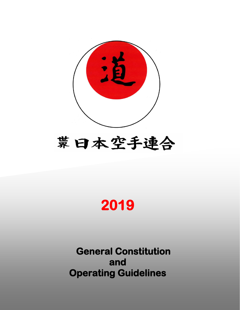

# 常日本空手連合

# **2019**

**General Constitution and Operating Guidelines**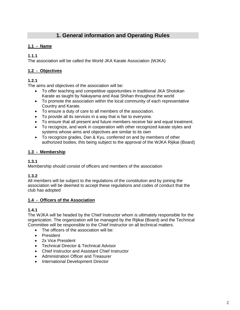# **1. General information and Operating Rules**

# **1.1 - Name**

# **1.1.1**

The association will be called the World JKA Karate Association (WJKA)

# **1.2 - Objectives**

# **1.2.1**

The aims and objectives of the association will be:

- To offer teaching and competitive opportunities in traditional JKA Shotokan Karate as taught by Nakayama and Asai Shihan throughout the world
- To promote the association within the local community of each representative Country and Karate.
- To ensure a duty of care to all members of the association.
- To provide all its services in a way that is fair to everyone.
- To ensure that all present and future members receive fair and equal treatment.
- To recognize, and work in cooperation with other recognized karate styles and systems whose aims and objectives are similar to its own
- To recognize grades, Dan & Kyu, conferred on and by members of other authorized bodies, this being subject to the approval of the WJKA Rijikai (Board)

# **1.3 - Membership**

# **1.3.1**

Membership should consist of officers and members of the association

# **1.3.2**

All members will be subject to the regulations of the constitution and by joining the association will be deemed to accept these regulations and codes of conduct that the club has adopted

# **1.4 - Officers of the Association**

# **1.4.1**

The WJKA will be headed by the Chief Instructor whom is ultimately responsible for the organization. The organization will be managed by the Rijikai (Board) and the Technical Committee will be responsible to the Chief Instructor on all technical matters.

- The officers of the association will be:
- President
- 2x Vice President
- Technical Director & Technical Advisor
- Chief Instructor and Assistant Chief Instructor
- Administration Officer and Treasurer
- International Development Director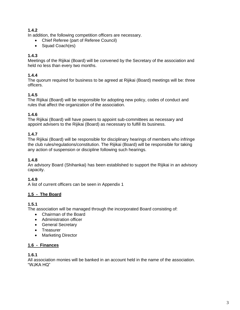# **1.4.2**

In addition, the following competition officers are necessary.

- Chief Referee (part of Referee Council)
- Squad Coach(es)

## **1.4.3**

Meetings of the Rijikai (Board) will be convened by the Secretary of the association and held no less than every two months.

#### **1.4.4**

The quorum required for business to be agreed at Rijikai (Board) meetings will be: three officers.

#### **1.4.5**

The Rijikai (Board) will be responsible for adopting new policy, codes of conduct and rules that affect the organization of the association.

#### **1.4.6**

The Rijikai (Board) will have powers to appoint sub-committees as necessary and appoint advisers to the Rijikai (Board) as necessary to fulfill its business.

#### **1.4.7**

The Rijikai (Board) will be responsible for disciplinary hearings of members who infringe the club rules/regulations/constitution. The Rijikai (Board) will be responsible for taking any action of suspension or discipline following such hearings.

#### **1.4.8**

An advisory Board (Shihankai) has been established to support the Rijikai in an advisory capacity.

# **1.4.9**

A list of current officers can be seen in Appendix 1

#### **1.5 - The Board**

#### **1.5.1**

The association will be managed through the incorporated Board consisting of:

- Chairman of the Board
- Administration officer
- General Secretary
- Treasurer
- Marketing Director

#### **1.6 - Finances**

#### **1.6.1**

All association monies will be banked in an account held in the name of the association. "WJKA HQ"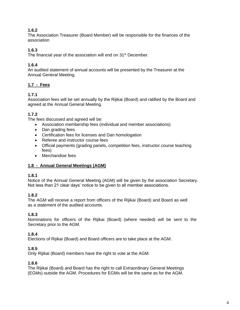# **1.6.2**

The Association Treasurer (Board Member) will be responsible for the finances of the association

## **1.6.3**

The financial year of the association will end on 31<sup>st</sup> December.

# **1.6.4**

An audited statement of annual accounts will be presented by the Treasurer at the Annual General Meeting.

# **1.7 - Fees**

#### **1.7.1**

Association fees will be set annually by the Rijikai (Board) and ratified by the Board and agreed at the Annual General Meeting.

# **1.7.2**

The fees discussed and agreed will be:

- Association membership fees (individual and member associations)
- Dan grading fees
- Certification fees for licenses and Dan homologation
- Referee and instructor course fees
- Official payments (grading panels, competition fees, instructor course teaching fees)
- Merchandise fees

#### **1.8 - Annual General Meetings (AGM)**

#### **1.8.1**

Notice of the Annual General Meeting (AGM) will be given by the association Secretary. Not less than 21 clear days' notice to be given to all member associations.

#### **1.8.2**

The AGM will receive a report from officers of the Rijikai (Board) and Board as well as a statement of the audited accounts.

#### **1.8.3**

Nominations for officers of the Rijikai (Board) (where needed) will be sent to the Secretary prior to the AGM.

# **1.8.4**

Elections of Rijikai (Board) and Board officers are to take place at the AGM.

#### **1.8.5**

Only Rijikai (Board) members have the right to vote at the AGM.

#### **1.8.6**

The Rijikai (Board) and Board has the right to call Extraordinary General Meetings (EGMs) outside the AGM. Procedures for EGMs will be the same as for the AGM.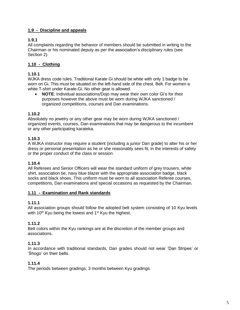# **1.9 - Discipline and appeals**

#### **1.9.1**

All complaints regarding the behavior of members should be submitted in writing to the Chairman or his nominated deputy as per the association's disciplinary rules (see Section 2).

#### **1.10 - Clothing**

#### **1.10.1**

WJKA dress code rules. Traditional Karate Gi should be white with only 1 badge to be worn on Gi. This must be situated on the left-hand side of the chest. Belt. For women a white T-shirt under Karate-Gi. No other gear is allowed.

• **NOTE**: Individual associations/Dojo may wear their own color Gi's for their purposes however the above must be worn during WJKA sanctioned / organized competitions, courses and Dan examinations.

#### **1.10.2**

Absolutely no jewelry or any other gear may be worn during WJKA sanctioned / organized events, courses, Dan examinations that may be dangerous to the incumbent or any other participating karateka.

#### **1.10.3**

A WJKA instructor may require a student (including a junior Dan grade) to alter his or her dress or personal presentation as he or she reasonably sees fit, in the interests of safety or the proper conduct of the class or session.

#### **1.10.4**

All Referees and Senior Officers will wear the standard uniform of grey trousers, white shirt, association tie, navy blue blazer with the appropriate association badge, black socks and black shoes. This uniform must be worn to all association Referee courses, competitions, Dan examinations and special occasions as requested by the Chairman.

#### **1.11 - Examination and Rank standards**

# **1.11.1**

All association groups should follow the adopted belt system consisting of 10 Kyu levels with 10<sup>th</sup> Kyu being the lowest and  $1<sup>st</sup>$  Kyu the highest.

# **1.11.2**

Belt colors within the Kyu rankings are at the discretion of the member groups and associations.

#### **1.11.3**

In accordance with traditional standards, Dan grades should not wear 'Dan Stripes' or 'Shogo' on their belts.

# **1.11.4**

The periods between gradings; 3 months between Kyu gradings.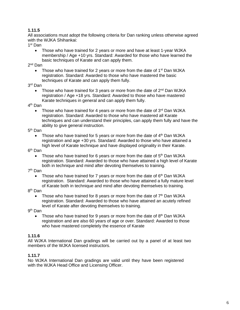#### **1.11.5**

All associations must adopt the following criteria for Dan ranking unless otherwise agreed with the WJKA Shihankai:

1 st Dan

• Those who have trained for 2 years or more and have at least 1-year WJKA membership / Age +10 yrs. Standard: Awarded for those who have learned the basic techniques of Karate and can apply them.

2<sup>nd</sup> Dan

Those who have trained for 2 years or more from the date of 1<sup>st</sup> Dan WJKA registration. Standard: Awarded to those who have mastered the basic techniques of Karate and can apply them fully.

3 rd Dan

Those who have trained for 3 years or more from the date of 2<sup>nd</sup> Dan WJKA registration / Age +18 yrs. Standard: Awarded to those who have mastered Karate techniques in general and can apply them fully.

4<sup>th</sup> Dan

Those who have trained for 4 years or more from the date of  $3<sup>rd</sup>$  Dan WJKA registration. Standard: Awarded to those who have mastered all Karate techniques and can understand their principles, can apply them fully and have the ability to give general instruction.

5<sup>th</sup> Dan

Those who have trained for 5 years or more from the date of  $4<sup>th</sup>$  Dan WJKA registration and age +30 yrs. Standard: Awarded to those who have attained a high level of Karate technique and have displayed originality in their Karate.

6<sup>th</sup> Dan

• Those who have trained for 6 years or more from the date of  $5<sup>th</sup>$  Dan WJKA registration. Standard: Awarded to those who have attained a high level of Karate both in technique and mind after devoting themselves to training.

7 th Dan

Those who have trained for 7 years or more from the date of  $6<sup>th</sup>$  Dan WJKA registration. Standard: Awarded to those who have attained a fully mature level of Karate both in technique and mind after devoting themselves to training.

#### 8<sup>th</sup> Dan

• Those who have trained for 8 years or more from the date of  $7<sup>th</sup>$  Dan WJKA registration. Standard: Awarded to those who have attained an acutely refined level of Karate after devoting themselves to training.

9 th Dan

• Those who have trained for 9 years or more from the date of  $8<sup>th</sup>$  Dan WJKA registration and are also 60 years of age or over. Standard: Awarded to those who have mastered completely the essence of Karate

#### **1.11.6**

All WJKA International Dan gradings will be carried out by a panel of at least two members of the WJKA licensed instructors.

#### **1.11.7**

No WJKA International Dan gradings are valid until they have been registered with the WJKA Head Office and Licensing Officer.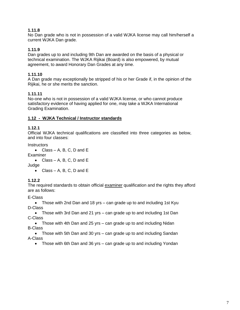#### **1.11.8**

No Dan grade who is not in possession of a valid WJKA license may call him/herself a current WJKA Dan grade.

#### **1.11.9**

Dan grades up to and including 9th Dan are awarded on the basis of a physical or technical examination. The WJKA Rijikai (Board) is also empowered, by mutual agreement, to award Honorary Dan Grades at any time.

#### **1.11.10**

A Dan grade may exceptionally be stripped of his or her Grade if, in the opinion of the Rijikai, he or she merits the sanction.

#### **1.11.11**

No-one who is not in possession of a valid WJKA license, or who cannot produce satisfactory evidence of having applied for one, may take a WJKA International Grading Examination.

#### **1.12 - WJKA Technical / Instructor standards**

#### **1.12.1**

Official WJKA technical qualifications are classified into three categories as below, and into four classes:

**Instructors** 

```
• Class – A, B, C, D and E
```
**Examiner** 

• Class – A, B, C, D and E

Judge

• Class – A, B, C, D and  $E$ 

#### **1.12.2**

The required standards to obtain official examiner qualification and the rights they afford are as follows:

E-Class

• Those with 2nd Dan and 18 yrs – can grade up to and including 1st Kyu D-Class

• Those with 3rd Dan and 21 yrs – can grade up to and including 1st Dan C-Class

• Those with 4th Dan and 25 yrs – can grade up to and including Nidan B-Class

• Those with 5th Dan and 30 yrs – can grade up to and including Sandan A-Class

• Those with 6th Dan and 36 yrs – can grade up to and including Yondan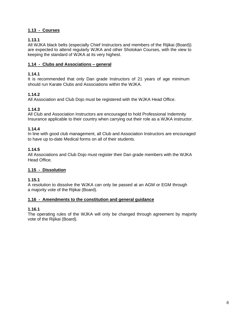## **1.13 - Courses**

#### **1.13.1**

All WJKA black belts (especially Chief Instructors and members of the Rijikai (Board)) are expected to attend regularly WJKA and other Shotokan Courses, with the view to keeping the standard of WJKA at its very highest.

#### **1.14 - Clubs and Associations – general**

## **1.14.1**

It is recommended that only Dan grade Instructors of 21 years of age minimum should run Karate Clubs and Associations within the WJKA.

# **1.14.2**

All Association and Club Dojo must be registered with the WJKA Head Office.

# **1.14.3**

All Club and Association Instructors are encouraged to hold Professional Indemnity Insurance applicable to their country when carrying out their role as a WJKA instructor.

# **1.14.4**

In line with good club management, all Club and Association Instructors are encouraged to have up to-date Medical forms on all of their students.

#### **1.14.5**

All Associations and Club Dojo must register their Dan grade members with the WJKA Head Office.

# **1.15 - Dissolution**

#### **1.15.1**

A resolution to dissolve the WJKA can only be passed at an AGM or EGM through a majority vote of the Rijikai (Board).

#### **1.16 - Amendments to the constitution and general guidance**

#### **1.16.1**

The operating rules of the WJKA will only be changed through agreement by majority vote of the Rijikai (Board).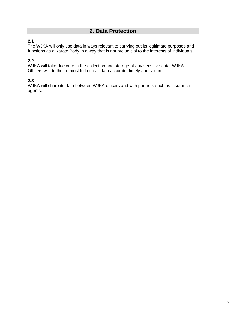# **2. Data Protection**

# **2.1**

The WJKA will only use data in ways relevant to carrying out its legitimate purposes and functions as a Karate Body in a way that is not prejudicial to the interests of individuals.

# **2.2**

WJKA will take due care in the collection and storage of any sensitive data. WJKA Officers will do their utmost to keep all data accurate, timely and secure.

# **2.3**

WJKA will share its data between WJKA officers and with partners such as insurance agents.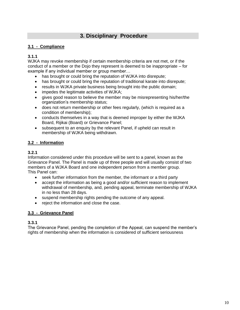# **3. Disciplinary Procedure**

# **3.1 - Compliance**

# **3.1.1**

WJKA may revoke membership if certain membership criteria are not met, or if the conduct of a member or the Dojo they represent is deemed to be inappropriate – for example if any individual member or group member…

- has brought or could bring the reputation of WJKA into disrepute;
- has brought or could bring the reputation of traditional karate into disrepute;
- results in WJKA private business being brought into the public domain;
- impedes the legitimate activities of WJKA;
- gives good reason to believe the member may be misrepresenting his/her/the organization's membership status;
- does not return membership or other fees regularly, (which is required as a condition of membership);
- conducts themselves in a way that is deemed improper by either the WJKA Board, Rijikai (Board) or Grievance Panel;
- subsequent to an enquiry by the relevant Panel, if upheld can result in membership of WJKA being withdrawn.

#### **3.2 - Information**

## **3.2.1**

Information considered under this procedure will be sent to a panel, known as the Grievance Panel. The Panel is made up of three people and will usually consist of two members of a WJKA Board and one independent person from a member group. This Panel can:

- seek further information from the member, the informant or a third party
- accept the information as being a good and/or sufficient reason to implement withdrawal of membership, and, pending appeal, terminate membership of WJKA in no less than 28 days.
- suspend membership rights pending the outcome of any appeal.
- reject the information and close the case.

#### **3.3 - Grievance Panel**

#### **3.3.1**

The Grievance Panel, pending the completion of the Appeal, can suspend the member's rights of membership when the information is considered of sufficient seriousness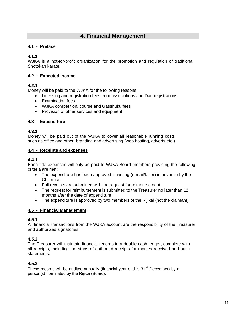# **4. Financial Management**

#### **4.1 - Preface**

#### **4.1.1**

WJKA is a not-for-profit organization for the promotion and regulation of traditional Shotokan karate.

#### **4.2 - Expected income**

#### **4.2.1**

Money will be paid to the WJKA for the following reasons:

- Licensing and registration fees from associations and Dan registrations
- Examination fees
- WJKA competition, course and Gasshuku fees
- Provision of other services and equipment

#### **4.3 - Expenditure**

#### **4.3.1**

Money will be paid out of the WJKA to cover all reasonable running costs such as office and other, branding and advertising (web hosting, adverts etc.)

#### **4.4 - Receipts and expenses**

#### **4.4.1**

Bona-fide expenses will only be paid to WJKA Board members providing the following criteria are met:

- The expenditure has been approved in writing (e-mail/letter) in advance by the Chairman
- Full receipts are submitted with the request for reimbursement
- The request for reimbursement is submitted to the Treasurer no later than 12 months after the date of expenditure.
- The expenditure is approved by two members of the Rijikai (not the claimant)

#### **4.5 - Financial Management**

#### **4.5.1**

All financial transactions from the WJKA account are the responsibility of the Treasurer and authorized signatories.

#### **4.5.2**

The Treasurer will maintain financial records in a double cash ledger, complete with all receipts, including the stubs of outbound receipts for monies received and bank statements.

#### **4.5.3**

These records will be audited annually (financial year end is  $31<sup>st</sup>$  December) by a person(s) nominated by the Rijikai (Board).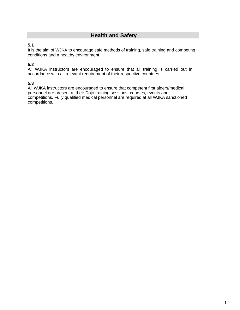# **Health and Safety**

# **5.1**

It is the aim of WJKA to encourage safe methods of training, safe training and competing conditions and a healthy environment.

# **5.2**

All WJKA instructors are encouraged to ensure that all training is carried out in accordance with all relevant requirement of their respective countries.

# **5.3**

All WJKA instructors are encouraged to ensure that competent first aiders/medical personnel are present at their Dojo training sessions, courses, events and competitions. Fully qualified medical personnel are required at all WJKA sanctioned competitions.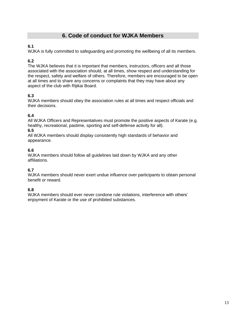# **6. Code of conduct for WJKA Members**

# **6.1**

WJKA is fully committed to safeguarding and promoting the wellbeing of all its members.

# **6.2**

The WJKA believes that it is important that members, instructors, officers and all those associated with the association should, at all times, show respect and understanding for the respect, safety and welfare of others. Therefore, members are encouraged to be open at all times and to share any concerns or complaints that they may have about any aspect of the club with Rijikai Board.

# **6.3**

WJKA members should obey the association rules at all times and respect officials and their decisions.

# **6.4**

All WJKA Officers and Representatives must promote the positive aspects of Karate (e.g. healthy, recreational, pastime, sporting and self-defense activity for all).

#### **6.5**

All WJKA members should display consistently high standards of behavior and appearance.

# **6.6**

WJKA members should follow all guidelines laid down by WJKA and any other affiliations.

# **6.7**

WJKA members should never exert undue influence over participants to obtain personal benefit or reward.

# **6.8**

WJKA members should ever never condone rule violations, interference with others' enjoyment of Karate or the use of prohibited substances.